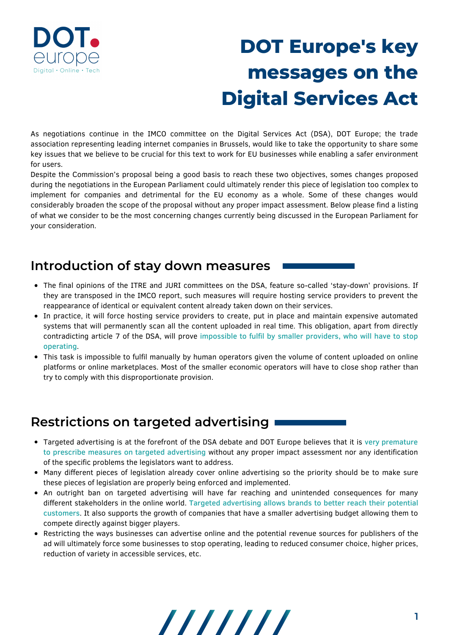

# **DOT Europe's key messages on the Digital Services Act**

As negotiations continue in the IMCO committee on the Digital Services Act (DSA), DOT Europe; the trade association representing leading internet companies in Brussels, would like to take the opportunity to share some key issues that we believe to be crucial for this text to work for EU businesses while enabling a safer environment for users.

Despite the Commission's proposal being a good basis to reach these two objectives, somes changes proposed during the negotiations in the European Parliament could ultimately render this piece of legislation too complex to implement for companies and detrimental for the EU economy as a whole. Some of these changes would considerably broaden the scope of the proposal without any proper impact assessment. Below please find a listing of what we consider to be the most concerning changes currently being discussed in the European Parliament for your consideration.

#### **Introduction of stay down measures**

- The final opinions of the ITRE and JURI committees on the DSA, feature so-called 'stay-down' provisions. If they are transposed in the IMCO report, such measures will require hosting service providers to prevent the reappearance of identical or equivalent content already taken down on their services.
- In practice, it will force hosting service providers to create, put in place and maintain expensive automated systems that will permanently scan all the content uploaded in real time. This obligation, apart from directly contradicting article 7 of the DSA, will prove impossible to fulfil by smaller providers, who will have to stop operating.
- This task is impossible to fulfil manually by human operators given the volume of content uploaded on online platforms or online marketplaces. Most of the smaller economic operators will have to close shop rather than try to comply with this disproportionate provision.

#### **Restrictions on targeted advertising**

- Targeted advertising is at the forefront of the DSA debate and DOT Europe believes that it is very premature to prescribe measures on targeted advertising without any proper impact assessment nor any identification of the specific problems the legislators want to address.
- Many different pieces of legislation already cover online advertising so the priority should be to make sure these pieces of legislation are properly being enforced and implemented.
- An outright ban on targeted advertising will have far reaching and unintended consequences for many different stakeholders in the online world. Targeted advertising allows brands to better reach their potential customers. It also supports the growth of companies that have a smaller advertising budget allowing them to compete directly against bigger players.
- Restricting the ways businesses can advertise online and the potential revenue sources for publishers of the ad will ultimately force some businesses to stop operating, leading to reduced consumer choice, higher prices, reduction of variety in accessible services, etc.

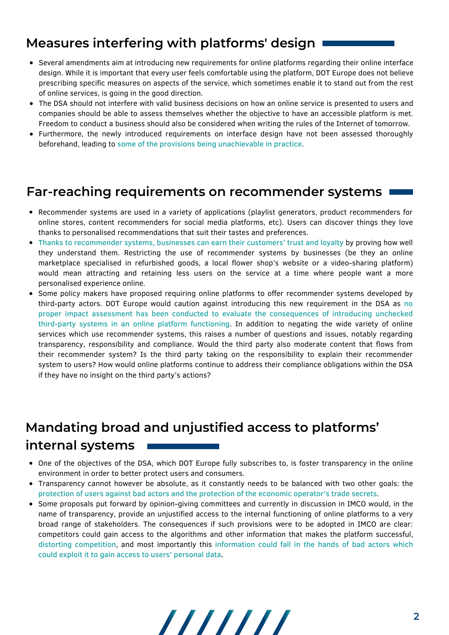## **Measures interfering with platforms' design**

- Several amendments aim at introducing new requirements for online platforms regarding their online interface design. While it is important that every user feels comfortable using the platform, DOT Europe does not believe prescribing specific measures on aspects of the service, which sometimes enable it to stand out from the rest of online services, is going in the good direction.
- The DSA should not interfere with valid business decisions on how an online service is presented to users and companies should be able to assess themselves whether the objective to have an accessible platform is met. Freedom to conduct a business should also be considered when writing the rules of the Internet of tomorrow.
- Furthermore, the newly introduced requirements on interface design have not been assessed thoroughly beforehand, leading to some of the provisions being unachievable in practice.

#### **Far-reaching requirements on recommender systems**

- Recommender systems are used in a variety of applications (playlist generators, product recommenders for online stores, content recommenders for social media platforms, etc). Users can discover things they love thanks to personalised recommendations that suit their tastes and preferences.
- Thanks to recommender systems, businesses can earn their customers' trust and loyalty by proving how well they understand them. Restricting the use of recommender systems by businesses (be they an online marketplace specialised in refurbished goods, a local flower shop's website or a video-sharing platform) would mean attracting and retaining less users on the service at a time where people want a more personalised experience online.
- Some policy makers have proposed requiring online platforms to offer recommender systems developed by third-party actors. DOT Europe would caution against introducing this new requirement in the DSA as no proper impact assessment has been conducted to evaluate the consequences of introducing unchecked third-party systems in an online platform functioning. In addition to negating the wide variety of online services which use recommender systems, this raises a number of questions and issues, notably regarding transparency, responsibility and compliance. Would the third party also moderate content that flows from their recommender system? Is the third party taking on the responsibility to explain their recommender system to users? How would online platforms continue to address their compliance obligations within the DSA if they have no insight on the third party's actions?

# **Mandating broad and unjustified access to platforms' internal systems**

- One of the objectives of the DSA, which DOT Europe fully subscribes to, is foster transparency in the online environment in order to better protect users and consumers.
- Transparency cannot however be absolute, as it constantly needs to be balanced with two other goals: the protection of users against bad actors and the protection of the economic operator's trade secrets.
- Some proposals put forward by opinion-giving committees and currently in discussion in IMCO would, in the name of transparency, provide an unjustified access to the internal functioning of online platforms to a very broad range of stakeholders. The consequences if such provisions were to be adopted in IMCO are clear: competitors could gain access to the algorithms and other information that makes the platform successful, distorting competition, and most importantly this information could fall in the hands of bad actors which could exploit it to gain access to users' personal data.